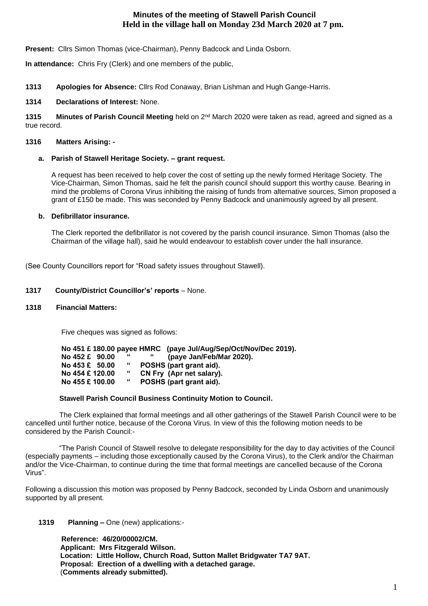# **Minutes of the meeting of Stawell Parish Council Held in the village hall on Monday 23d March 2020 at 7 pm.**

**Present:** Cllrs Simon Thomas (vice-Chairman), Penny Badcock and Linda Osborn.

**In attendance:** Chris Fry (Clerk) and one members of the public,

**1313 Apologies for Absence:** Cllrs Rod Conaway, Brian Lishman and Hugh Gange-Harris.

## **1314 Declarations of Interest:** None.

1315 Minutes of Parish Council Meeting held on 2<sup>nd</sup> March 2020 were taken as read, agreed and signed as a true record.

## **1316 Matters Arising: -**

## **a. Parish of Stawell Heritage Society. – grant request.**

A request has been received to help cover the cost of setting up the newly formed Heritage Society. The Vice-Chairman, Simon Thomas, said he felt the parish council should support this worthy cause. Bearing in mind the problems of Corona Virus inhibiting the raising of funds from alternative sources, Simon proposed a grant of £150 be made. This was seconded by Penny Badcock and unanimously agreed by all present.

## **b. Defibrillator insurance.**

The Clerk reported the defibrillator is not covered by the parish council insurance. Simon Thomas (also the Chairman of the village hall), said he would endeavour to establish cover under the hall insurance.

(See County Councillors report for "Road safety issues throughout Stawell).

## **1317 County/District Councillor's' reports** – None.

### **1318 Financial Matters:**

Five cheques was signed as follows:

|  |                          |   | No 451 £ 180.00 payee HMRC (paye Jul/Aug/Sep/Oct/Nov/Dec 2019). |
|--|--------------------------|---|-----------------------------------------------------------------|
|  | No $452 \text{ }E$ 90.00 | " | (paye Jan/Feb/Mar 2020).                                        |
|  | No $453 \text{ E}$ 50.00 | " | POSHS (part grant aid).                                         |
|  | No 454 £ 120.00          | " | CN Fry (Apr net salary).                                        |
|  | No 455 £ 100.00          | " | POSHS (part grant aid).                                         |

### **Stawell Parish Council Business Continuity Motion to Council.**

 The Clerk explained that formal meetings and all other gatherings of the Stawell Parish Council were to be cancelled until further notice, because of the Corona Virus. In view of this the following motion needs to be considered by the Parish Council:-

 "The Parish Council of Stawell resolve to delegate responsibility for the day to day activities of the Council (especially payments – including those exceptionally caused by the Corona Virus), to the Clerk and/or the Chairman and/or the Vice-Chairman, to continue during the time that formal meetings are cancelled because of the Corona Virus".

Following a discussion this motion was proposed by Penny Badcock, seconded by Linda Osborn and unanimously supported by all present.

## **1319 Planning –** One (new) applications:-

 **Reference: 46/20/00002/CM. Applicant: Mrs Fitzgerald Wilson. Location: Little Hollow, Church Road, Sutton Mallet Bridgwater TA7 9AT. Proposal: Erection of a dwelling with a detached garage.** (**Comments already submitted).**